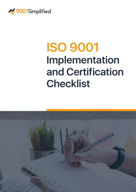

# **ISO 9001 Implementation and Certification Checklist**

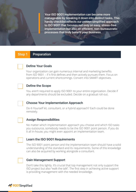**Your ISO 9001 implementation can become more manageable by breaking it down into distinct tasks. This handy checklist reflects our proven simplified approach to ISO 9001 that focuses not only on easy, stress-free implementation but also on efficient, non-bureaucratic processes that truly benefit your business.**

#### **Step 1 Preparation**

## **Define Your Goals**

Your organization can gain numerous internal and marketing benefits from ISO 9001 – if it first defines and then actively pursues them. Focus on operations and current shortcomings. Convert into SMART objectives.



## **Define the Scope**

You aren't required to apply ISO 9001 to your entire organization. Decide if any departments should be excluded. Decide on a gradual roll-out.



## **Choose Your Implementation Approach**

Do-It-Yourself kit, consultant, or a hybrid approach? Each could be done remotely.



## **Assign Responsibilities**

No matter which implementation approach you choose and which ISO tasks you outsource, somebody needs to be the ISO 9001 point person. If you do it all in-house, you might even appoint an implementation team.



## **Learn the ISO 9001 Requirements**

The ISO 9001 point person and the implementation team should have a solid understanding of the standard and its requirements. Some of this knowledge can also be acquired by working alongside a consultant.



## **Gain Management Support**

Don't take this lightly. It's crucial that top management not only support the ISO project but also "walk the talk". The first step in achieving active support is providing management with the needed knowledge.

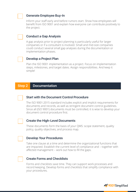## **Generate Employee Buy-In**

Inform your staff early and before rumors start. Show how employees will benefit from ISO 9001 and explain how everyone can contribute positively to the project.

## **Conduct a Gap Analysis**

A gap analysis prior to project planning is particularly useful for larger companies or if a consultant is involved. Small and mid-size companies could conduct several small gap analyses during the documentation or implementation phases.

## **Develop a Project Plan**

Plan the ISO 9001 implementation as a project. Focus on implementation steps, milestones, and target dates. Assign responsibilities. And keep it simple!

## **Step 2 Documentation**

## **Start with the Document Control Procedure**

The ISO 9001:2015 standard includes explicit and implicit requirements for documents and records, as well as stringent document control guidelines. Since all (ISO 9001) documents must be controlled, it is wise to develop your document control procedure first.



## **Create the High-Level Documents**

These documents form the basis of your QMS: scope statement, quality policy, quality objectives, and process map.

## **Develop Your Procedures**

Take one clause at a time and determine the organizational functions that are impacted. Establish the current level of compliance and – together with affected management – work out how to fill the gaps.



## **Create Forms and Checklists**

Forms and checklists save time. They can support work processes and record keeping. Develop forms and checklists that simplify compliance with your procedures.

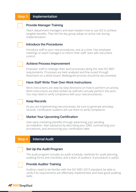#### **Step 3 Implementation**



#### **Provide Manager Training**

Teach department managers and team leaders how to use ISO to achieve tangible benefits. Then let this key group adopt an active role during implementation.

## **Introduce the Procedures**

Introduce staff to your new procedures, one at a time. Use employee meetings or teach managers to inform their staff. Start with document control.



#### **Achieve Process Improvement**

Empower staff to redesign their work processes along the new ISO 9001 requirements. Processes are best analyzed and fine-tuned through flowcharts on a white board. Redesigned process should be documented.



Work instructions are step-by-step directions on how to perform an activity. Work instructions are best written by staff who actually perform the work. You may need to verify compliance with your new procedures.



## **Keep Records**

As you are implementing new processes, be sure to generate and keep records. Certification auditors will use them to verify compliance.



## **Market Your Upcoming Certification**

Gain early marketing benefits through advertising your pending accreditation. Add substance by describing your QMS, summarizing your procedures, and announcing your certification date.

## **Step 4 Internal Audit**



#### **Set Up the Audit Program**

The audit program includes an audit schedule, methods for audit planning, auditing forms and checklists, and a team of auditors. A procedure is useful.



## **Provide Auditor Training**

Auditors need to be familiar with the ISO 9001:2015 standard, be able to verify if its requirements are effectively implemented, and have good auditing skills.